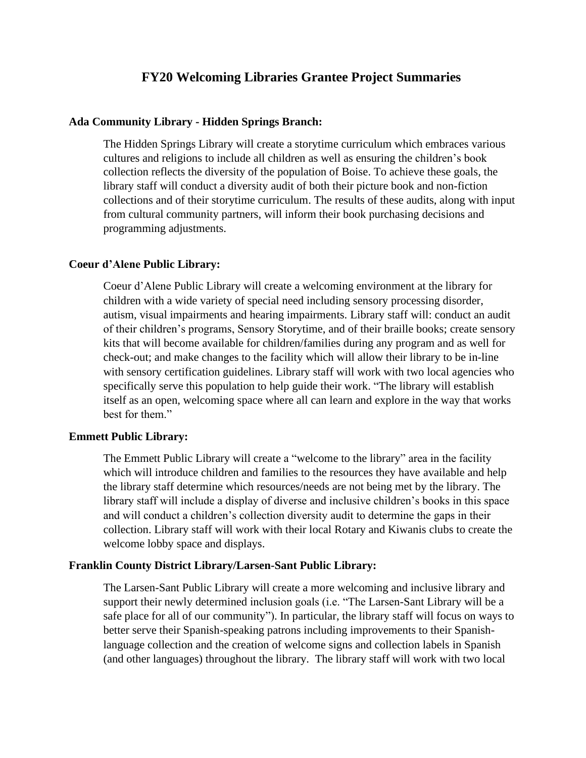# **FY20 Welcoming Libraries Grantee Project Summaries**

### **Ada Community Library - Hidden Springs Branch:**

The Hidden Springs Library will create a storytime curriculum which embraces various cultures and religions to include all children as well as ensuring the children's book collection reflects the diversity of the population of Boise. To achieve these goals, the library staff will conduct a diversity audit of both their picture book and non-fiction collections and of their storytime curriculum. The results of these audits, along with input from cultural community partners, will inform their book purchasing decisions and programming adjustments.

### **Coeur d'Alene Public Library:**

Coeur d'Alene Public Library will create a welcoming environment at the library for children with a wide variety of special need including sensory processing disorder, autism, visual impairments and hearing impairments. Library staff will: conduct an audit of their children's programs, Sensory Storytime, and of their braille books; create sensory kits that will become available for children/families during any program and as well for check-out; and make changes to the facility which will allow their library to be in-line with sensory certification guidelines. Library staff will work with two local agencies who specifically serve this population to help guide their work. "The library will establish itself as an open, welcoming space where all can learn and explore in the way that works best for them."

### **Emmett Public Library:**

The Emmett Public Library will create a "welcome to the library" area in the facility which will introduce children and families to the resources they have available and help the library staff determine which resources/needs are not being met by the library. The library staff will include a display of diverse and inclusive children's books in this space and will conduct a children's collection diversity audit to determine the gaps in their collection. Library staff will work with their local Rotary and Kiwanis clubs to create the welcome lobby space and displays.

### **Franklin County District Library/Larsen-Sant Public Library:**

The Larsen-Sant Public Library will create a more welcoming and inclusive library and support their newly determined inclusion goals (i.e. "The Larsen-Sant Library will be a safe place for all of our community"). In particular, the library staff will focus on ways to better serve their Spanish-speaking patrons including improvements to their Spanishlanguage collection and the creation of welcome signs and collection labels in Spanish (and other languages) throughout the library. The library staff will work with two local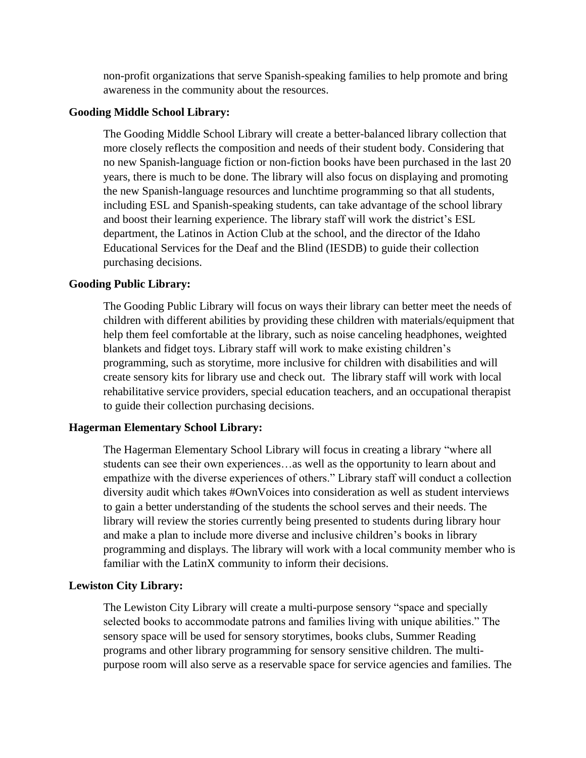non-profit organizations that serve Spanish-speaking families to help promote and bring awareness in the community about the resources.

### **Gooding Middle School Library:**

The Gooding Middle School Library will create a better-balanced library collection that more closely reflects the composition and needs of their student body. Considering that no new Spanish-language fiction or non-fiction books have been purchased in the last 20 years, there is much to be done. The library will also focus on displaying and promoting the new Spanish-language resources and lunchtime programming so that all students, including ESL and Spanish-speaking students, can take advantage of the school library and boost their learning experience. The library staff will work the district's ESL department, the Latinos in Action Club at the school, and the director of the Idaho Educational Services for the Deaf and the Blind (IESDB) to guide their collection purchasing decisions.

# **Gooding Public Library:**

The Gooding Public Library will focus on ways their library can better meet the needs of children with different abilities by providing these children with materials/equipment that help them feel comfortable at the library, such as noise canceling headphones, weighted blankets and fidget toys. Library staff will work to make existing children's programming, such as storytime, more inclusive for children with disabilities and will create sensory kits for library use and check out. The library staff will work with local rehabilitative service providers, special education teachers, and an occupational therapist to guide their collection purchasing decisions.

### **Hagerman Elementary School Library:**

The Hagerman Elementary School Library will focus in creating a library "where all students can see their own experiences…as well as the opportunity to learn about and empathize with the diverse experiences of others." Library staff will conduct a collection diversity audit which takes #OwnVoices into consideration as well as student interviews to gain a better understanding of the students the school serves and their needs. The library will review the stories currently being presented to students during library hour and make a plan to include more diverse and inclusive children's books in library programming and displays. The library will work with a local community member who is familiar with the LatinX community to inform their decisions.

### **Lewiston City Library:**

The Lewiston City Library will create a multi-purpose sensory "space and specially selected books to accommodate patrons and families living with unique abilities." The sensory space will be used for sensory storytimes, books clubs, Summer Reading programs and other library programming for sensory sensitive children. The multipurpose room will also serve as a reservable space for service agencies and families. The